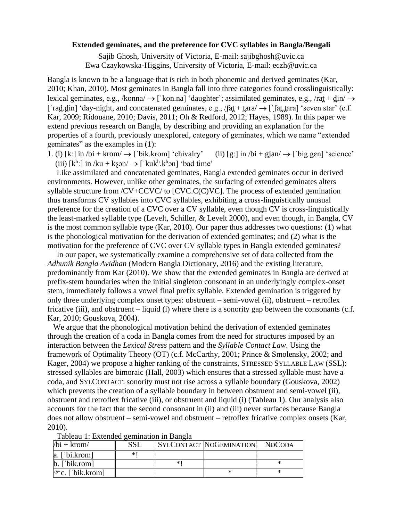## **Extended geminates, and the preference for CVC syllables in Bangla/Bengali**

Sajib Ghosh, University of Victoria, E-mail: sajibghosh@uvic.ca Ewa Czaykowska-Higgins, University of Victoria, E-mail: eczh@uvic.ca

Bangla is known to be a language that is rich in both phonemic and derived geminates (Kar, 2010; Khan, 2010). Most geminates in Bangla fall into three categories found crosslinguistically: lexical geminates, e.g., /konna/ → [**ˈ**kon.na] 'daughter'; assimilated geminates, e.g., /rat̪+ d̪in/ → [**ˈ**rad̪.d̪in] 'day-night, and concatenated geminates, e.g., /ʃat̪+ t̪ara/ → [**ˈ**ʃat̪.t̪ara] 'seven star' (c.f. Kar, 2009; Ridouane, 2010; Davis, 2011; Oh & Redford, 2012; Hayes, 1989). In this paper we extend previous research on Bangla, by describing and providing an explanation for the properties of a fourth, previously unexplored, category of geminates, which we name "extended geminates" as the examples in (1):

1. (i)  $[k!]$  in  $\beta$ bi + krom $\rightarrow$  ['bik.krom] 'chivalry' (ii)  $[g!]$  in  $\beta$ bi + gjan $\rightarrow$  ['big.gen] 'science' (iii)  $[k^h]$  in /ku + kʂɔn/  $\rightarrow$  ['kuk<sup>h</sup>.k<sup>h</sup>ɔn] 'bad time'

Like assimilated and concatenated geminates, Bangla extended geminates occur in derived environments. However, unlike other geminates, the surfacing of extended geminates alters syllable structure from /CV+CCVC/ to [CVC.C(C)VC]. The process of extended gemination thus transforms CV syllables into CVC syllables, exhibiting a cross-linguistically unusual preference for the creation of a CVC over a CV syllable, even though CV is cross-linguistically the least-marked syllable type (Levelt, Schiller, & Levelt 2000), and even though, in Bangla, CV is the most common syllable type (Kar, 2010). Our paper thus addresses two questions: (1) what is the phonological motivation for the derivation of extended geminates; and (2) what is the motivation for the preference of CVC over CV syllable types in Bangla extended geminates?

In our paper, we systematically examine a comprehensive set of data collected from the *Adhunik Bangla Avidhan* (Modern Bangla Dictionary, 2016) and the existing literature, predominantly from Kar (2010). We show that the extended geminates in Bangla are derived at prefix-stem boundaries when the initial singleton consonant in an underlyingly complex-onset stem, immediately follows a vowel final prefix syllable. Extended gemination is triggered by only three underlying complex onset types: obstruent – semi-vowel (ii), obstruent – retroflex fricative (iii), and obstruent – liquid (i) where there is a sonority gap between the consonants (c.f. Kar, 2010; Gouskova, 2004).

 We argue that the phonological motivation behind the derivation of extended geminates through the creation of a coda in Bangla comes from the need for structures imposed by an interaction between the *Lexical Stress* pattern and the *Syllable Contact Law*. Using the framework of Optimality Theory (OT) (c.f. McCarthy, 2001; Prince & Smolensky, 2002; and Kager, 2004) we propose a higher ranking of the constraints, STRESSED SYLLABLE LAW (SSL): stressed syllables are bimoraic (Hall, 2003) which ensures that a stressed syllable must have a coda, and SYLCONTACT: sonority must not rise across a syllable boundary (Gouskova, 2002) which prevents the creation of a syllable boundary in between obstruent and semi-vowel (ii), obstruent and retroflex fricative (iii), or obstruent and liquid (i) (Tableau 1). Our analysis also accounts for the fact that the second consonant in (ii) and (iii) never surfaces because Bangla does not allow obstruent – semi-vowel and obstruent – retroflex fricative complex onsets (Kar, 2010).

| $/bi + krom/$             | <b>SSL</b> |    | <b>SYLCONTACT NOGEMINATION</b> | <b>NOCODA</b> |
|---------------------------|------------|----|--------------------------------|---------------|
| $ a. $ bi.krom            | *          |    |                                |               |
| $\mathbf{b}$ . ['bik.rom] |            | *' |                                |               |
| $\infty$ . ['bik.krom]    |            |    |                                |               |

| Tableau 1: Extended gemination in Bangla |
|------------------------------------------|
|------------------------------------------|